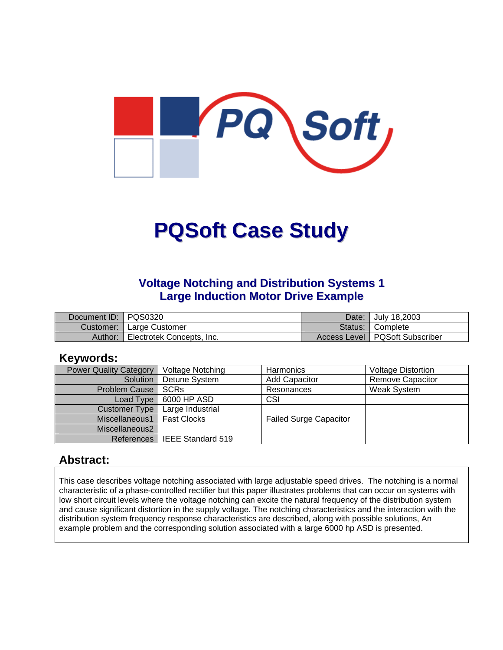

# **PQSoft Case Study**

## **Voltage Notching and Distribution Systems 1 Large Induction Motor Drive Example**

| Document ID: PQS0320 |                            | Date: | July 18,2003                     |
|----------------------|----------------------------|-------|----------------------------------|
|                      | Customer:   Large Customer |       | Status: Complete                 |
| Author:              | Electrotek Concepts, Inc.  |       | Access Level   PQSoft Subscriber |

#### **Keywords:**

| <b>Power Quality Category</b> | <b>Voltage Notching</b>        | <b>Harmonics</b>              | <b>Voltage Distortion</b> |
|-------------------------------|--------------------------------|-------------------------------|---------------------------|
| Solution                      | Detune System                  | <b>Add Capacitor</b>          | <b>Remove Capacitor</b>   |
| Problem Cause                 | l SCRs                         | Resonances                    | <b>Weak System</b>        |
| Load Type                     | 6000 HP ASD                    | CSI                           |                           |
| <b>Customer Type</b>          | Large Industrial               |                               |                           |
| Miscellaneous1                | <b>Fast Clocks</b>             | <b>Failed Surge Capacitor</b> |                           |
| Miscellaneous2                |                                |                               |                           |
|                               | References   IEEE Standard 519 |                               |                           |

#### **Abstract:**

This case describes voltage notching associated with large adjustable speed drives. The notching is a normal characteristic of a phase-controlled rectifier but this paper illustrates problems that can occur on systems with low short circuit levels where the voltage notching can excite the natural frequency of the distribution system and cause significant distortion in the supply voltage. The notching characteristics and the interaction with the distribution system frequency response characteristics are described, along with possible solutions, An example problem and the corresponding solution associated with a large 6000 hp ASD is presented.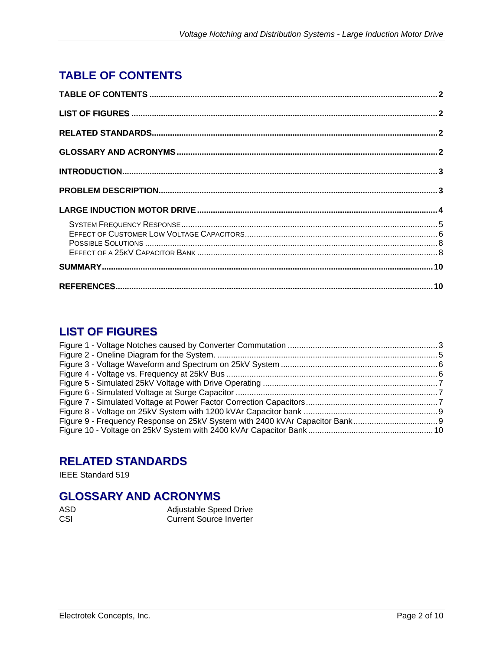# <span id="page-1-0"></span>**TABLE OF CONTENTS**

# **LIST OF FIGURES**

## **RELATED STANDARDS**

IEEE Standard 519

## **GLOSSARY AND ACRONYMS**

| ASD | Adjustable Speed Drive         |
|-----|--------------------------------|
| CSI | <b>Current Source Inverter</b> |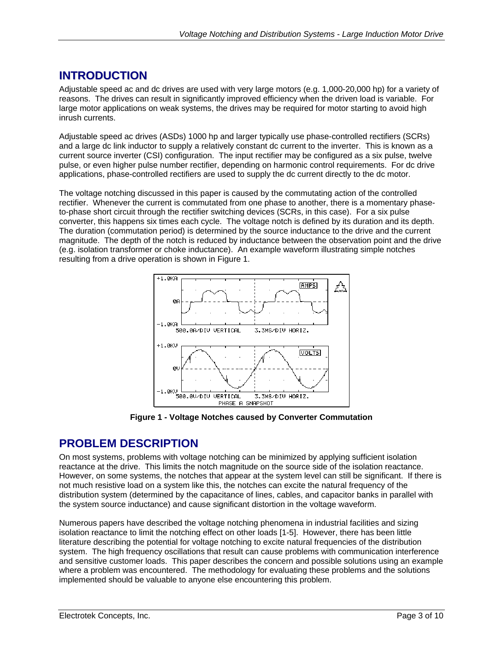## <span id="page-2-0"></span>**INTRODUCTION**

Adjustable speed ac and dc drives are used with very large motors (e.g. 1,000-20,000 hp) for a variety of reasons. The drives can result in significantly improved efficiency when the driven load is variable. For large motor applications on weak systems, the drives may be required for motor starting to avoid high inrush currents.

Adjustable speed ac drives (ASDs) 1000 hp and larger typically use phase-controlled rectifiers (SCRs) and a large dc link inductor to supply a relatively constant dc current to the inverter. This is known as a current source inverter (CSI) configuration. The input rectifier may be configured as a six pulse, twelve pulse, or even higher pulse number rectifier, depending on harmonic control requirements. For dc drive applications, phase-controlled rectifiers are used to supply the dc current directly to the dc motor.

The voltage notching discussed in this paper is caused by the commutating action of the controlled rectifier. Whenever the current is commutated from one phase to another, there is a momentary phaseto-phase short circuit through the rectifier switching devices (SCRs, in this case). For a six pulse converter, this happens six times each cycle. The voltage notch is defined by its duration and its depth. The duration (commutation period) is determined by the source inductance to the drive and the current magnitude. The depth of the notch is reduced by inductance between the observation point and the drive (e.g. isolation transformer or choke inductance). An example waveform illustrating simple notches resulting from a drive operation is shown in Figure 1.



**Figure 1 - Voltage Notches caused by Converter Commutation**

## **PROBLEM DESCRIPTION**

On most systems, problems with voltage notching can be minimized by applying sufficient isolation reactance at the drive. This limits the notch magnitude on the source side of the isolation reactance. However, on some systems, the notches that appear at the system level can still be significant. If there is not much resistive load on a system like this, the notches can excite the natural frequency of the distribution system (determined by the capacitance of lines, cables, and capacitor banks in parallel with the system source inductance) and cause significant distortion in the voltage waveform.

Numerous papers have described the voltage notching phenomena in industrial facilities and sizing isolation reactance to limit the notching effect on other loads [1-5]. However, there has been little literature describing the potential for voltage notching to excite natural frequencies of the distribution system. The high frequency oscillations that result can cause problems with communication interference and sensitive customer loads. This paper describes the concern and possible solutions using an example where a problem was encountered. The methodology for evaluating these problems and the solutions implemented should be valuable to anyone else encountering this problem.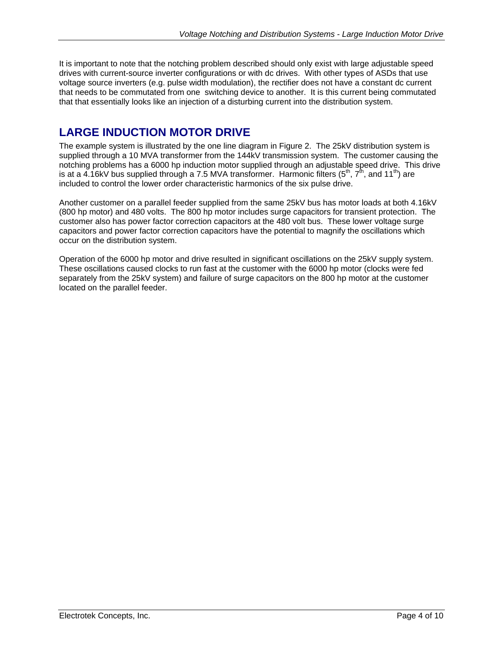<span id="page-3-0"></span>It is important to note that the notching problem described should only exist with large adjustable speed drives with current-source inverter configurations or with dc drives. With other types of ASDs that use voltage source inverters (e.g. pulse width modulation), the rectifier does not have a constant dc current that needs to be commutated from one switching device to another. It is this current being commutated that that essentially looks like an injection of a disturbing current into the distribution system.

# **LARGE INDUCTION MOTOR DRIVE**

The example system is illustrated by the one line diagram in Figure 2. The 25kV distribution system is supplied through a 10 MVA transformer from the 144kV transmission system. The customer causing the notching problems has a 6000 hp induction motor supplied through an adjustable speed drive. This drive is at a 4.16kV bus supplied through a 7.5 MVA transformer. Harmonic filters (5<sup>th</sup>, 7<sup>th</sup>, and 11<sup>th</sup>) are included to control the lower order characteristic harmonics of the six pulse drive.

Another customer on a parallel feeder supplied from the same 25kV bus has motor loads at both 4.16kV (800 hp motor) and 480 volts. The 800 hp motor includes surge capacitors for transient protection. The customer also has power factor correction capacitors at the 480 volt bus. These lower voltage surge capacitors and power factor correction capacitors have the potential to magnify the oscillations which occur on the distribution system.

Operation of the 6000 hp motor and drive resulted in significant oscillations on the 25kV supply system. These oscillations caused clocks to run fast at the customer with the 6000 hp motor (clocks were fed separately from the 25kV system) and failure of surge capacitors on the 800 hp motor at the customer located on the parallel feeder.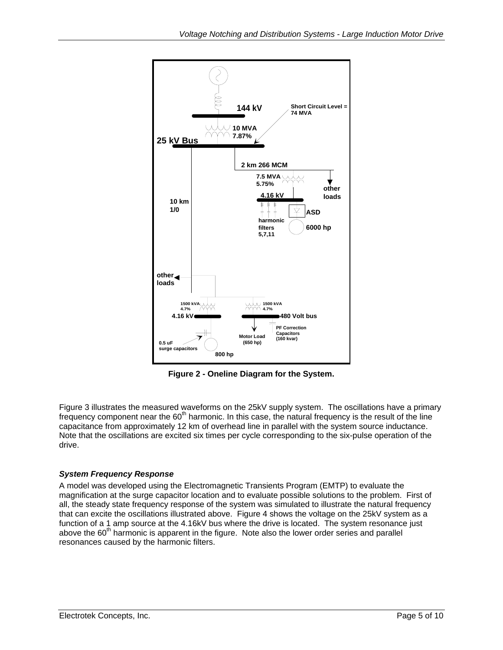<span id="page-4-0"></span>

**Figure 2 - Oneline Diagram for the System.** 

Figure 3 illustrates the measured waveforms on the 25kV supply system. The oscillations have a primary frequency component near the  $60<sup>th</sup>$  harmonic. In this case, the natural frequency is the result of the line capacitance from approximately 12 km of overhead line in parallel with the system source inductance. Note that the oscillations are excited six times per cycle corresponding to the six-pulse operation of the drive.

#### *System Frequency Response*

A model was developed using the Electromagnetic Transients Program (EMTP) to evaluate the magnification at the surge capacitor location and to evaluate possible solutions to the problem. First of all, the steady state frequency response of the system was simulated to illustrate the natural frequency that can excite the oscillations illustrated above. Figure 4 shows the voltage on the 25kV system as a function of a 1 amp source at the 4.16kV bus where the drive is located. The system resonance just above the  $60<sup>th</sup>$  harmonic is apparent in the figure. Note also the lower order series and parallel resonances caused by the harmonic filters.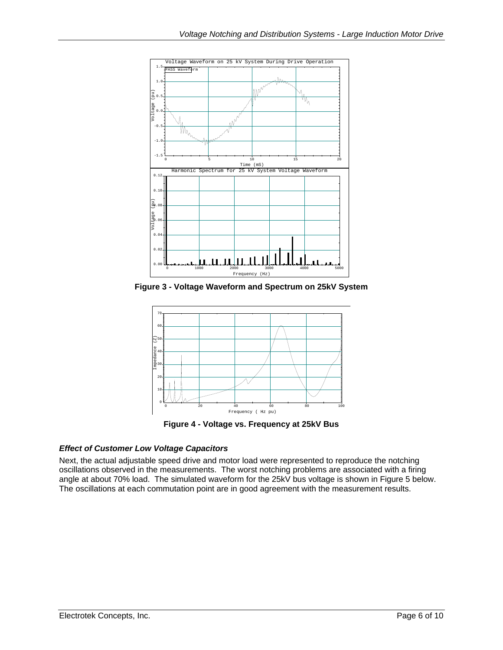<span id="page-5-0"></span>

**Figure 3 - Voltage Waveform and Spectrum on 25kV System** 



**Figure 4 - Voltage vs. Frequency at 25kV Bus** 

#### *Effect of Customer Low Voltage Capacitors*

Next, the actual adjustable speed drive and motor load were represented to reproduce the notching oscillations observed in the measurements. The worst notching problems are associated with a firing angle at about 70% load. The simulated waveform for the 25kV bus voltage is shown in Figure 5 below. The oscillations at each commutation point are in good agreement with the measurement results.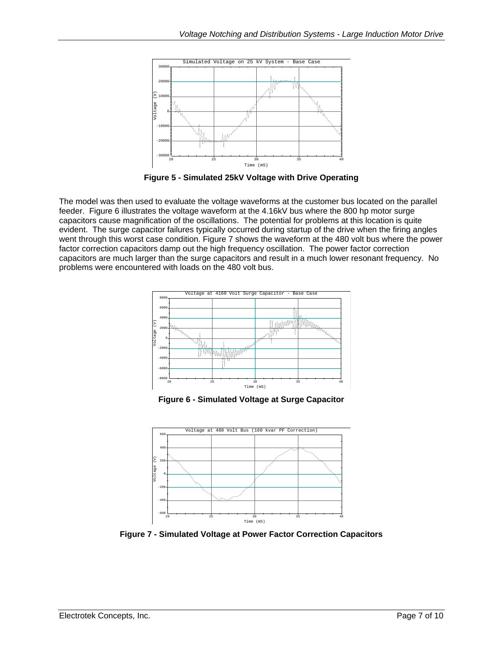<span id="page-6-0"></span>

**Figure 5 - Simulated 25kV Voltage with Drive Operating** 

The model was then used to evaluate the voltage waveforms at the customer bus located on the parallel feeder. Figure 6 illustrates the voltage waveform at the 4.16kV bus where the 800 hp motor surge capacitors cause magnification of the oscillations. The potential for problems at this location is quite evident. The surge capacitor failures typically occurred during startup of the drive when the firing angles went through this worst case condition. Figure 7 shows the waveform at the 480 volt bus where the power factor correction capacitors damp out the high frequency oscillation. The power factor correction capacitors are much larger than the surge capacitors and result in a much lower resonant frequency. No problems were encountered with loads on the 480 volt bus.



**Figure 6 - Simulated Voltage at Surge Capacitor** 



**Figure 7 - Simulated Voltage at Power Factor Correction Capacitors**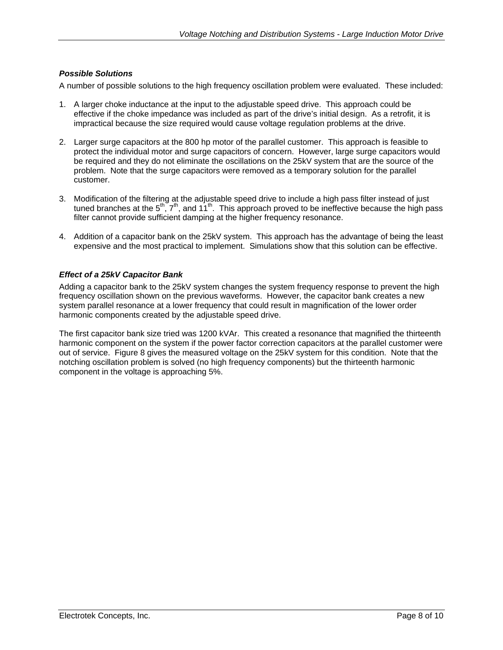#### <span id="page-7-0"></span>*Possible Solutions*

A number of possible solutions to the high frequency oscillation problem were evaluated. These included:

- 1. A larger choke inductance at the input to the adjustable speed drive. This approach could be effective if the choke impedance was included as part of the drive's initial design. As a retrofit, it is impractical because the size required would cause voltage regulation problems at the drive.
- 2. Larger surge capacitors at the 800 hp motor of the parallel customer. This approach is feasible to protect the individual motor and surge capacitors of concern. However, large surge capacitors would be required and they do not eliminate the oscillations on the 25kV system that are the source of the problem. Note that the surge capacitors were removed as a temporary solution for the parallel customer.
- 3. Modification of the filtering at the adjustable speed drive to include a high pass filter instead of just tuned branches at the  $5<sup>th</sup>$ ,  $7<sup>th</sup>$ , and  $11<sup>th</sup>$ . This approach proved to be ineffective because the high pass filter cannot provide sufficient damping at the higher frequency resonance.
- 4. Addition of a capacitor bank on the 25kV system. This approach has the advantage of being the least expensive and the most practical to implement. Simulations show that this solution can be effective.

#### *Effect of a 25kV Capacitor Bank*

Adding a capacitor bank to the 25kV system changes the system frequency response to prevent the high frequency oscillation shown on the previous waveforms. However, the capacitor bank creates a new system parallel resonance at a lower frequency that could result in magnification of the lower order harmonic components created by the adjustable speed drive.

The first capacitor bank size tried was 1200 kVAr. This created a resonance that magnified the thirteenth harmonic component on the system if the power factor correction capacitors at the parallel customer were out of service. Figure 8 gives the measured voltage on the 25kV system for this condition. Note that the notching oscillation problem is solved (no high frequency components) but the thirteenth harmonic component in the voltage is approaching 5%.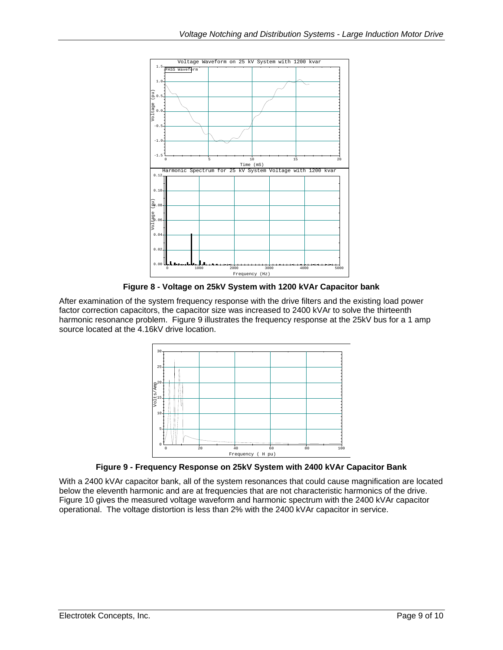<span id="page-8-0"></span>

**Figure 8 - Voltage on 25kV System with 1200 kVAr Capacitor bank** 

After examination of the system frequency response with the drive filters and the existing load power factor correction capacitors, the capacitor size was increased to 2400 kVAr to solve the thirteenth harmonic resonance problem. Figure 9 illustrates the frequency response at the 25kV bus for a 1 amp source located at the 4.16kV drive location.



**Figure 9 - Frequency Response on 25kV System with 2400 kVAr Capacitor Bank** 

With a 2400 kVAr capacitor bank, all of the system resonances that could cause magnification are located below the eleventh harmonic and are at frequencies that are not characteristic harmonics of the drive. Figure 10 gives the measured voltage waveform and harmonic spectrum with the 2400 kVAr capacitor operational. The voltage distortion is less than 2% with the 2400 kVAr capacitor in service.